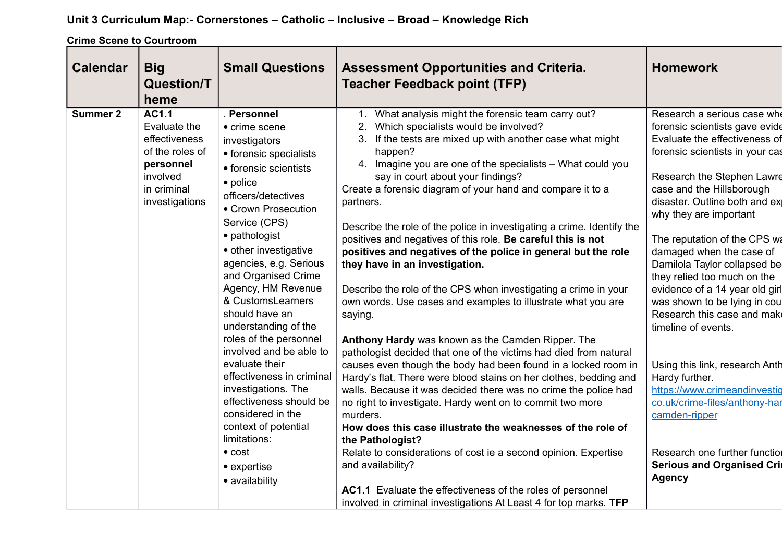## **Unit 3 Curriculum Map:- Cornerstones – Catholic – Inclusive – Broad – Knowledge Rich**

**Crime Scene to Courtroom**

| <b>Calendar</b><br><b>Big</b><br><b>Question/T</b><br>heme                                                                                    | <b>Small Questions</b>                                                                                                                                                                                                                                                                                                                                                                                                                                                                                                                                         | <b>Assessment Opportunities and Criteria.</b><br><b>Teacher Feedback point (TFP)</b>                                                                                                                                                                                                                                                                                                                                                                                                                                                                                                                                                                                                                                                                                                                                                                                                                                                                                                                                                                                                                                                                                                                                        | <b>Homework</b>                                                                                                                                                                                                                                                                                                                                                                                                                                                                                                                                                                                                                                  |
|-----------------------------------------------------------------------------------------------------------------------------------------------|----------------------------------------------------------------------------------------------------------------------------------------------------------------------------------------------------------------------------------------------------------------------------------------------------------------------------------------------------------------------------------------------------------------------------------------------------------------------------------------------------------------------------------------------------------------|-----------------------------------------------------------------------------------------------------------------------------------------------------------------------------------------------------------------------------------------------------------------------------------------------------------------------------------------------------------------------------------------------------------------------------------------------------------------------------------------------------------------------------------------------------------------------------------------------------------------------------------------------------------------------------------------------------------------------------------------------------------------------------------------------------------------------------------------------------------------------------------------------------------------------------------------------------------------------------------------------------------------------------------------------------------------------------------------------------------------------------------------------------------------------------------------------------------------------------|--------------------------------------------------------------------------------------------------------------------------------------------------------------------------------------------------------------------------------------------------------------------------------------------------------------------------------------------------------------------------------------------------------------------------------------------------------------------------------------------------------------------------------------------------------------------------------------------------------------------------------------------------|
| <b>AC1.1</b><br><b>Summer 2</b><br>Evaluate the<br>effectiveness<br>of the roles of<br>personnel<br>involved<br>in criminal<br>investigations | . Personnel<br>• crime scene<br>investigators<br>• forensic specialists<br>• forensic scientists<br>• police<br>officers/detectives<br>• Crown Prosecution<br>Service (CPS)<br>• pathologist<br>• other investigative<br>agencies, e.g. Serious<br>and Organised Crime<br>Agency, HM Revenue<br>& CustomsLearners<br>should have an<br>understanding of the<br>roles of the personnel<br>involved and be able to<br>evaluate their<br>effectiveness in criminal<br>investigations. The<br>effectiveness should be<br>considered in the<br>context of potential | 1. What analysis might the forensic team carry out?<br>2. Which specialists would be involved?<br>3. If the tests are mixed up with another case what might<br>happen?<br>4. Imagine you are one of the specialists - What could you<br>say in court about your findings?<br>Create a forensic diagram of your hand and compare it to a<br>partners.<br>Describe the role of the police in investigating a crime. Identify the<br>positives and negatives of this role. Be careful this is not<br>positives and negatives of the police in general but the role<br>they have in an investigation.<br>Describe the role of the CPS when investigating a crime in your<br>own words. Use cases and examples to illustrate what you are<br>saying.<br>Anthony Hardy was known as the Camden Ripper. The<br>pathologist decided that one of the victims had died from natural<br>causes even though the body had been found in a locked room in<br>Hardy's flat. There were blood stains on her clothes, bedding and<br>walls. Because it was decided there was no crime the police had<br>no right to investigate. Hardy went on to commit two more<br>murders.<br>How does this case illustrate the weaknesses of the role of | Research a serious case whe<br>forensic scientists gave evide<br>Evaluate the effectiveness of<br>forensic scientists in your cas<br>Research the Stephen Lawre<br>case and the Hillsborough<br>disaster. Outline both and ex<br>why they are important<br>The reputation of the CPS wa<br>damaged when the case of<br>Damilola Taylor collapsed be<br>they relied too much on the<br>evidence of a 14 year old girl<br>was shown to be lying in cou<br>Research this case and make<br>timeline of events.<br>Using this link, research Anth<br>Hardy further.<br>https://www.crimeandinvestig<br>co.uk/crime-files/anthony-har<br>camden-ripper |
|                                                                                                                                               | limitations:<br>$\bullet$ cost<br>$\bullet$ expertise<br>· availability                                                                                                                                                                                                                                                                                                                                                                                                                                                                                        | the Pathologist?<br>Relate to considerations of cost ie a second opinion. Expertise<br>and availability?<br>AC1.1 Evaluate the effectiveness of the roles of personnel<br>involved in criminal investigations At Least 4 for top marks. TFP                                                                                                                                                                                                                                                                                                                                                                                                                                                                                                                                                                                                                                                                                                                                                                                                                                                                                                                                                                                 | Research one further functiol<br><b>Serious and Organised Crin</b><br><b>Agency</b>                                                                                                                                                                                                                                                                                                                                                                                                                                                                                                                                                              |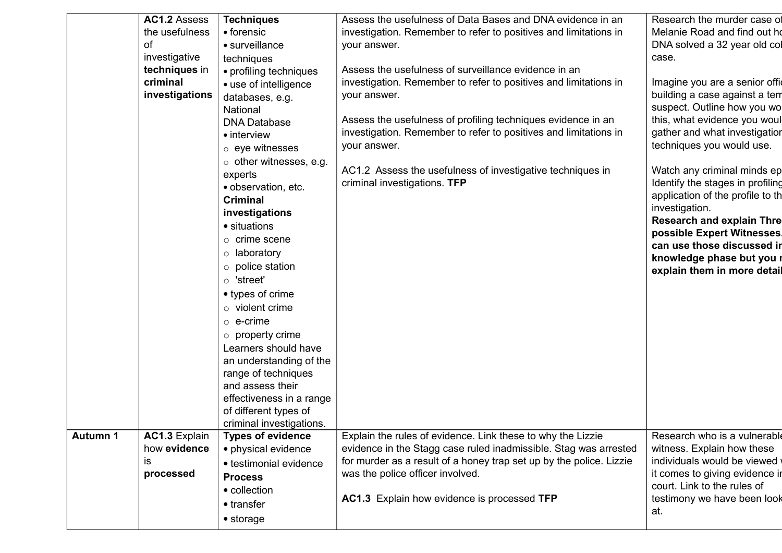|                 | AC1.2 Assess<br>the usefulness<br>οf<br>investigative<br>techniques in<br>criminal<br>investigations | <b>Techniques</b><br>• forensic<br>• surveillance<br>techniques<br>• profiling techniques<br>• use of intelligence<br>databases, e.g.<br>National<br><b>DNA Database</b><br>• interview<br>$\circ$ eye witnesses<br>$\circ$ other witnesses, e.g.<br>experts<br>• observation, etc.<br><b>Criminal</b><br>investigations<br>• situations<br>$\circ$ crime scene<br>$\circ$ laboratory<br>$\circ$ police station<br>$\circ$ 'street'<br>• types of crime<br>$\circ$ violent crime<br>$\circ$ e-crime<br>$\circ$ property crime<br>Learners should have<br>an understanding of the<br>range of techniques<br>and assess their<br>effectiveness in a range<br>of different types of<br>criminal investigations. | Assess the usefulness of Data Bases and DNA evidence in an<br>investigation. Remember to refer to positives and limitations in<br>your answer.<br>Assess the usefulness of surveillance evidence in an<br>investigation. Remember to refer to positives and limitations in<br>your answer.<br>Assess the usefulness of profiling techniques evidence in an<br>investigation. Remember to refer to positives and limitations in<br>your answer.<br>AC1.2 Assess the usefulness of investigative techniques in<br>criminal investigations. TFP | Research the murder case of<br>Melanie Road and find out ho<br>DNA solved a 32 year old col<br>case.<br>Imagine you are a senior offic<br>building a case against a terr<br>suspect. Outline how you wo<br>this, what evidence you woul<br>gather and what investigation<br>techniques you would use.<br>Watch any criminal minds ep<br>Identify the stages in profiling<br>application of the profile to th<br>investigation.<br><b>Research and explain Thre</b><br>possible Expert Witnesses.<br>can use those discussed in<br>knowledge phase but you r<br>explain them in more detail |
|-----------------|------------------------------------------------------------------------------------------------------|--------------------------------------------------------------------------------------------------------------------------------------------------------------------------------------------------------------------------------------------------------------------------------------------------------------------------------------------------------------------------------------------------------------------------------------------------------------------------------------------------------------------------------------------------------------------------------------------------------------------------------------------------------------------------------------------------------------|----------------------------------------------------------------------------------------------------------------------------------------------------------------------------------------------------------------------------------------------------------------------------------------------------------------------------------------------------------------------------------------------------------------------------------------------------------------------------------------------------------------------------------------------|--------------------------------------------------------------------------------------------------------------------------------------------------------------------------------------------------------------------------------------------------------------------------------------------------------------------------------------------------------------------------------------------------------------------------------------------------------------------------------------------------------------------------------------------------------------------------------------------|
| <b>Autumn 1</b> | AC1.3 Explain<br>how evidence<br>IS.<br>processed                                                    | <b>Types of evidence</b><br>• physical evidence<br>• testimonial evidence<br><b>Process</b><br>• collection<br>• transfer<br>$\bullet$ storage                                                                                                                                                                                                                                                                                                                                                                                                                                                                                                                                                               | Explain the rules of evidence. Link these to why the Lizzie<br>evidence in the Stagg case ruled inadmissible. Stag was arrested<br>for murder as a result of a honey trap set up by the police. Lizzie<br>was the police officer involved.<br>AC1.3 Explain how evidence is processed TFP                                                                                                                                                                                                                                                    | Research who is a vulnerable<br>witness. Explain how these<br>individuals would be viewed<br>it comes to giving evidence in<br>court. Link to the rules of<br>testimony we have been look<br>at.                                                                                                                                                                                                                                                                                                                                                                                           |
|                 |                                                                                                      |                                                                                                                                                                                                                                                                                                                                                                                                                                                                                                                                                                                                                                                                                                              |                                                                                                                                                                                                                                                                                                                                                                                                                                                                                                                                              |                                                                                                                                                                                                                                                                                                                                                                                                                                                                                                                                                                                            |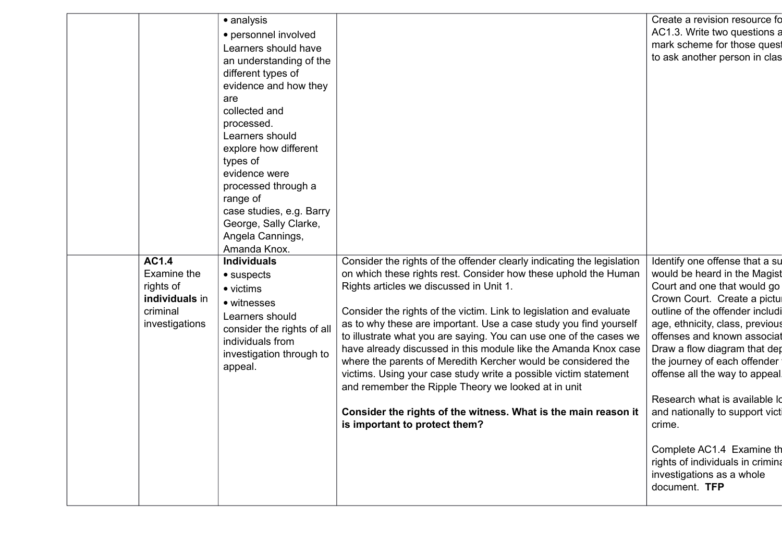| AC1.4<br>Examine the<br>rights of            | • personnel involved<br>Learners should have<br>an understanding of the<br>different types of<br>evidence and how they<br>are<br>collected and<br>processed.<br>Learners should<br>explore how different<br>types of<br>evidence were<br>processed through a<br>range of<br>case studies, e.g. Barry<br>George, Sally Clarke,<br>Angela Cannings,<br>Amanda Knox.<br><b>Individuals</b><br>$\bullet$ suspects<br>• victims | Consider the rights of the offender clearly indicating the legislation<br>on which these rights rest. Consider how these uphold the Human<br>Rights articles we discussed in Unit 1.                                                                                                                                                                                                                                                                                                                                                                                             | AC1.3. Write two questions a<br>mark scheme for those quest<br>to ask another person in clas<br>Identify one offense that a su<br>would be heard in the Magist<br>Court and one that would go                                                                                                                                                                                                                                    |
|----------------------------------------------|----------------------------------------------------------------------------------------------------------------------------------------------------------------------------------------------------------------------------------------------------------------------------------------------------------------------------------------------------------------------------------------------------------------------------|----------------------------------------------------------------------------------------------------------------------------------------------------------------------------------------------------------------------------------------------------------------------------------------------------------------------------------------------------------------------------------------------------------------------------------------------------------------------------------------------------------------------------------------------------------------------------------|----------------------------------------------------------------------------------------------------------------------------------------------------------------------------------------------------------------------------------------------------------------------------------------------------------------------------------------------------------------------------------------------------------------------------------|
| individuals in<br>criminal<br>investigations | • witnesses<br>Learners should<br>consider the rights of all<br>individuals from<br>investigation through to<br>appeal.                                                                                                                                                                                                                                                                                                    | Consider the rights of the victim. Link to legislation and evaluate<br>as to why these are important. Use a case study you find yourself<br>to illustrate what you are saying. You can use one of the cases we<br>have already discussed in this module like the Amanda Knox case<br>where the parents of Meredith Kercher would be considered the<br>victims. Using your case study write a possible victim statement<br>and remember the Ripple Theory we looked at in unit<br>Consider the rights of the witness. What is the main reason it<br>is important to protect them? | Crown Court. Create a pictul<br>outline of the offender includi<br>age, ethnicity, class, previous<br>offenses and known associat<br>Draw a flow diagram that dep<br>the journey of each offender<br>offense all the way to appeal.<br>Research what is available Id<br>and nationally to support victi<br>crime.<br>Complete AC1.4 Examine th<br>rights of individuals in crimina<br>investigations as a whole<br>document. TFP |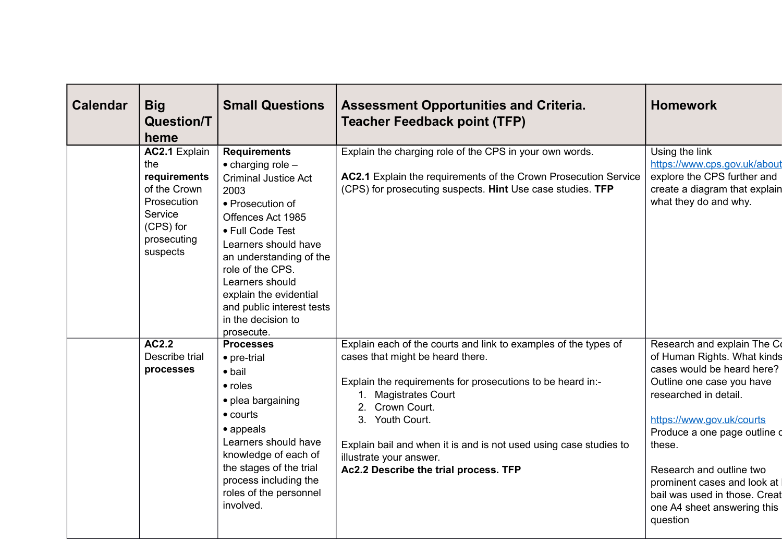| <b>Calendar</b> | <b>Big</b><br><b>Question/T</b><br>heme                                                                                | <b>Small Questions</b>                                                                                                                                                                                                                                                                                                                      | <b>Assessment Opportunities and Criteria.</b><br><b>Teacher Feedback point (TFP)</b>                                                                                                                                                                                                                                                                                     | <b>Homework</b>                                                                                                                                                                                                                                                                                                                                              |
|-----------------|------------------------------------------------------------------------------------------------------------------------|---------------------------------------------------------------------------------------------------------------------------------------------------------------------------------------------------------------------------------------------------------------------------------------------------------------------------------------------|--------------------------------------------------------------------------------------------------------------------------------------------------------------------------------------------------------------------------------------------------------------------------------------------------------------------------------------------------------------------------|--------------------------------------------------------------------------------------------------------------------------------------------------------------------------------------------------------------------------------------------------------------------------------------------------------------------------------------------------------------|
|                 | AC2.1 Explain<br>the<br>requirements<br>of the Crown<br>Prosecution<br>Service<br>(CPS) for<br>prosecuting<br>suspects | <b>Requirements</b><br>$\bullet$ charging role $-$<br><b>Criminal Justice Act</b><br>2003<br>• Prosecution of<br>Offences Act 1985<br>• Full Code Test<br>Learners should have<br>an understanding of the<br>role of the CPS.<br>Learners should<br>explain the evidential<br>and public interest tests<br>in the decision to<br>prosecute. | Explain the charging role of the CPS in your own words.<br>AC2.1 Explain the requirements of the Crown Prosecution Service<br>(CPS) for prosecuting suspects. Hint Use case studies. TFP                                                                                                                                                                                 | Using the link<br>https://www.cps.gov.uk/about<br>explore the CPS further and<br>create a diagram that explain<br>what they do and why.                                                                                                                                                                                                                      |
|                 | AC2.2<br>Describe trial<br>processes                                                                                   | <b>Processes</b><br>• pre-trial<br>$\bullet$ bail<br>$\bullet$ roles<br>• plea bargaining<br>$\bullet$ courts<br>• appeals<br>Learners should have<br>knowledge of each of<br>the stages of the trial<br>process including the<br>roles of the personnel<br>involved.                                                                       | Explain each of the courts and link to examples of the types of<br>cases that might be heard there.<br>Explain the requirements for prosecutions to be heard in:-<br>1. Magistrates Court<br>2. Crown Court.<br>3. Youth Court.<br>Explain bail and when it is and is not used using case studies to<br>illustrate your answer.<br>Ac2.2 Describe the trial process. TFP | Research and explain The Co<br>of Human Rights. What kinds<br>cases would be heard here?<br>Outline one case you have<br>researched in detail.<br>https://www.gov.uk/courts<br>Produce a one page outline o<br>these.<br>Research and outline two<br>prominent cases and look at<br>bail was used in those. Creat<br>one A4 sheet answering this<br>question |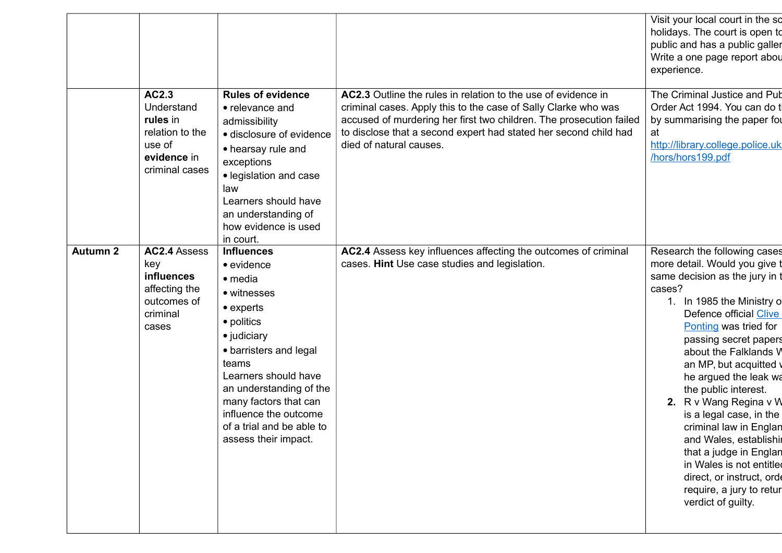|                 |                                                                                               |                                                                                                                                                                                                                                                                                                                  |                                                                                                                                                                                                                                                                                                       | Visit your local court in the so<br>holidays. The court is open to<br>public and has a public galler<br>Write a one page report abou<br>experience.                                                                                                                                                                                                                                                                                                                                                                                                                      |
|-----------------|-----------------------------------------------------------------------------------------------|------------------------------------------------------------------------------------------------------------------------------------------------------------------------------------------------------------------------------------------------------------------------------------------------------------------|-------------------------------------------------------------------------------------------------------------------------------------------------------------------------------------------------------------------------------------------------------------------------------------------------------|--------------------------------------------------------------------------------------------------------------------------------------------------------------------------------------------------------------------------------------------------------------------------------------------------------------------------------------------------------------------------------------------------------------------------------------------------------------------------------------------------------------------------------------------------------------------------|
|                 | AC2.3<br>Understand<br>rules in<br>relation to the<br>use of<br>evidence in<br>criminal cases | <b>Rules of evidence</b><br>• relevance and<br>admissibility<br>· disclosure of evidence<br>• hearsay rule and<br>exceptions<br>• legislation and case<br>law<br>Learners should have<br>an understanding of<br>how evidence is used<br>in court.                                                                | AC2.3 Outline the rules in relation to the use of evidence in<br>criminal cases. Apply this to the case of Sally Clarke who was<br>accused of murdering her first two children. The prosecution failed<br>to disclose that a second expert had stated her second child had<br>died of natural causes. | The Criminal Justice and Pub<br>Order Act 1994. You can do t<br>by summarising the paper for<br>at<br>http://library.college.police.uk<br>/hors/hors199.pdf                                                                                                                                                                                                                                                                                                                                                                                                              |
| <b>Autumn 2</b> | AC2.4 Assess<br>key<br>influences<br>affecting the<br>outcomes of<br>criminal<br>cases        | <b>Influences</b><br>$\bullet$ evidence<br>• media<br>• witnesses<br>$\bullet$ experts<br>• politics<br>• judiciary<br>• barristers and legal<br>teams<br>Learners should have<br>an understanding of the<br>many factors that can<br>influence the outcome<br>of a trial and be able to<br>assess their impact. | AC2.4 Assess key influences affecting the outcomes of criminal<br>cases. Hint Use case studies and legislation.                                                                                                                                                                                       | Research the following cases<br>more detail. Would you give t<br>same decision as the jury in t<br>cases?<br>1. In 1985 the Ministry of<br>Defence official Clive<br>Ponting was tried for<br>passing secret papers<br>about the Falklands V<br>an MP, but acquitted v<br>he argued the leak wa<br>the public interest.<br>R v Wang Regina v W<br>2.<br>is a legal case, in the<br>criminal law in Englan<br>and Wales, establishir<br>that a judge in Englan<br>in Wales is not entitled<br>direct, or instruct, orde<br>require, a jury to retur<br>verdict of guilty. |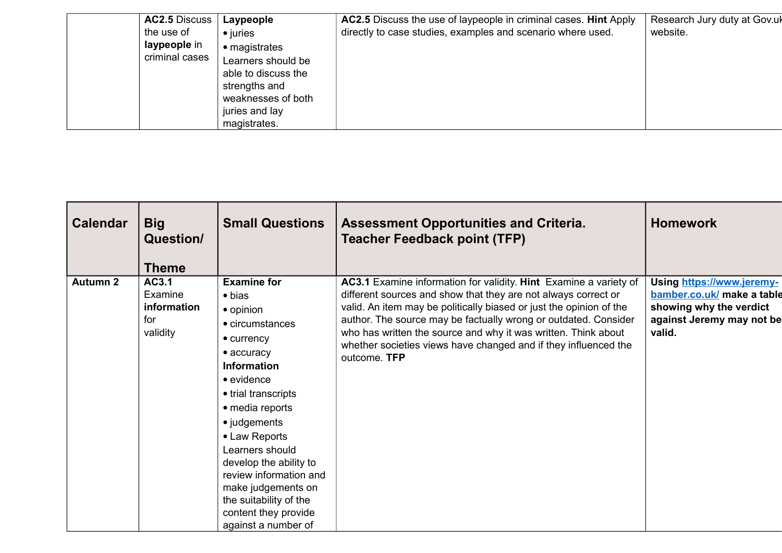| AC2.5 Discuss  | Laypeople           | AC2.5 Discuss the use of laypeople in criminal cases. Hint Apply | Research Jury duty at Gov.uk |
|----------------|---------------------|------------------------------------------------------------------|------------------------------|
| the use of     | $\bullet$ juries    | directly to case studies, examples and scenario where used.      | website.                     |
| laypeople in   | • magistrates       |                                                                  |                              |
| criminal cases | Learners should be  |                                                                  |                              |
|                | able to discuss the |                                                                  |                              |
|                | strengths and       |                                                                  |                              |
|                | weaknesses of both  |                                                                  |                              |
|                | juries and lay      |                                                                  |                              |
|                | magistrates.        |                                                                  |                              |

| <b>Calendar</b> | <b>Big</b><br><b>Question/</b> | <b>Small Questions</b>                           | <b>Assessment Opportunities and Criteria.</b><br><b>Teacher Feedback point (TFP)</b>                                                | <b>Homework</b>                                         |
|-----------------|--------------------------------|--------------------------------------------------|-------------------------------------------------------------------------------------------------------------------------------------|---------------------------------------------------------|
|                 | Theme                          |                                                  |                                                                                                                                     |                                                         |
| <b>Autumn 2</b> | AC3.1<br>Examine               | <b>Examine for</b><br>$\bullet$ bias             | AC3.1 Examine information for validity. Hint Examine a variety of<br>different sources and show that they are not always correct or | Using https://www.jeremy-<br>bamber.co.uk/ make a table |
|                 | information                    |                                                  | valid. An item may be politically biased or just the opinion of the                                                                 | showing why the verdict                                 |
|                 | for                            | • opinion<br>• circumstances                     | author. The source may be factually wrong or outdated. Consider                                                                     | against Jeremy may not be                               |
|                 | validity                       |                                                  | who has written the source and why it was written. Think about                                                                      | valid.                                                  |
|                 |                                | $\bullet$ currency                               | whether societies views have changed and if they influenced the                                                                     |                                                         |
|                 |                                | $\bullet$ accuracy<br><b>Information</b>         | outcome. TFP                                                                                                                        |                                                         |
|                 |                                | $\bullet$ evidence                               |                                                                                                                                     |                                                         |
|                 |                                |                                                  |                                                                                                                                     |                                                         |
|                 |                                | • trial transcripts                              |                                                                                                                                     |                                                         |
|                 |                                | • media reports                                  |                                                                                                                                     |                                                         |
|                 |                                | • judgements                                     |                                                                                                                                     |                                                         |
|                 |                                | • Law Reports                                    |                                                                                                                                     |                                                         |
|                 |                                | Learners should                                  |                                                                                                                                     |                                                         |
|                 |                                | develop the ability to<br>review information and |                                                                                                                                     |                                                         |
|                 |                                | make judgements on                               |                                                                                                                                     |                                                         |
|                 |                                | the suitability of the                           |                                                                                                                                     |                                                         |
|                 |                                | content they provide                             |                                                                                                                                     |                                                         |
|                 |                                | against a number of                              |                                                                                                                                     |                                                         |